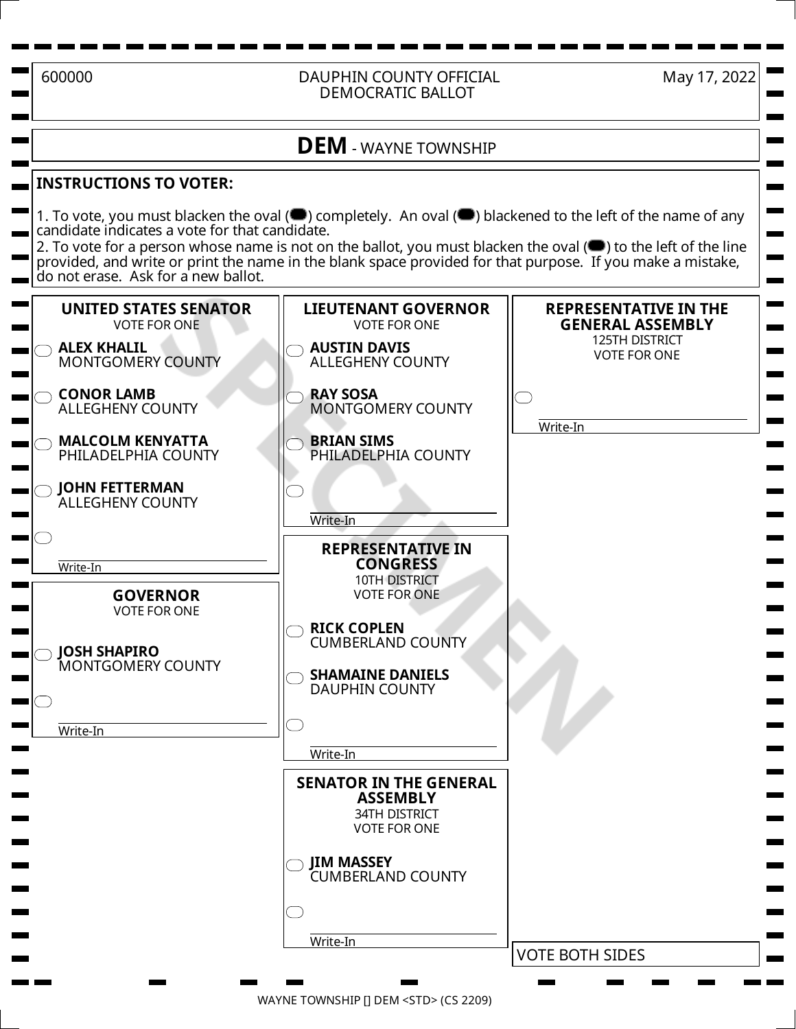## 600000 DAUPHIN COUNTY OFFICIAL DEMOCRATIC BALLOT

May 17, 2022

## **DEM** - WAYNE TOWNSHIP

## **INSTRUCTIONS TO VOTER:**

1. To vote, you must blacken the oval ( $\blacksquare$ ) completely. An oval ( $\blacksquare$ ) blackened to the left of the name of any candidate indicates a vote for that candidate.

2. To vote for a person whose name is not on the ballot, you must blacken the oval ( $\blacksquare$ ) to the left of the line provided, and write or print the name in the blank space provided for that purpose. If you make a mistake, do not erase. Ask for a new ballot.

| <b>UNITED STATES SENATOR</b><br><b>VOTE FOR ONE</b> | <b>LIEUTENANT GOVERNOR</b><br><b>VOTE FOR ONE</b>                                               | <b>REPRESENTATIVE IN THE</b><br><b>GENERAL ASSEMBLY</b> |
|-----------------------------------------------------|-------------------------------------------------------------------------------------------------|---------------------------------------------------------|
| <b>ALEX KHALIL</b><br><b>MONTGOMERY COUNTY</b>      | <b>AUSTIN DAVIS</b><br><b>ALLEGHENY COUNTY</b>                                                  | 125TH DISTRICT<br><b>VOTE FOR ONE</b>                   |
| <b>CONOR LAMB</b><br><b>ALLEGHENY COUNTY</b>        | <b>RAY SOSA</b><br><b>MONTGOMERY COUNTY</b>                                                     |                                                         |
| <b>MALCOLM KENYATTA</b><br>PHILADELPHIA COUNTY      | <b>BRIAN SIMS</b><br>PHILADELPHIA COUNTY                                                        | Write-In                                                |
| <b>JOHN FETTERMAN</b><br>ALLEGHENY COUNTY           | Write-In                                                                                        |                                                         |
| Write-In                                            | <b>REPRESENTATIVE IN</b><br><b>CONGRESS</b>                                                     |                                                         |
| <b>GOVERNOR</b><br><b>VOTE FOR ONE</b>              | 10TH DISTRICT<br><b>VOTE FOR ONE</b><br><b>RICK COPLEN</b>                                      |                                                         |
| <b>JOSH SHAPIRO</b><br>MONTGOMERY COUNTY            | <b>CUMBERLAND COUNTY</b><br><b>SHAMAINE DANIELS</b>                                             |                                                         |
|                                                     | DAUPHIN COUNTY                                                                                  |                                                         |
| Write-In                                            | Write-In                                                                                        |                                                         |
|                                                     | <b>SENATOR IN THE GENERAL</b><br><b>ASSEMBLY</b><br><b>34TH DISTRICT</b><br><b>VOTE FOR ONE</b> |                                                         |
|                                                     | <b>JIM MASSEY</b><br><b>CUMBERLAND COUNTY</b>                                                   |                                                         |
|                                                     | Write-In                                                                                        |                                                         |
|                                                     |                                                                                                 | <b>VOTE BOTH SIDES</b>                                  |